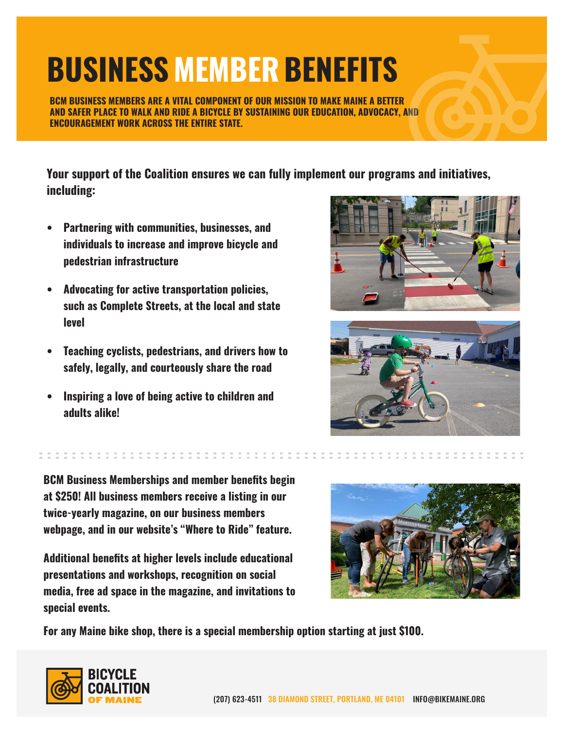## **BUSINESS MEMBER BENEFITS**

**BCM BUSINESS MEMBERS ARE A VITAL COMPONENT OF OUR MISSION TO MAKE MAINE A BETTER AND SAFER PLACE TO WALK AND RIDE A BICYCLE BY SUSTAINING OUR EDUCATION, ADVOCACY, AND ENCOURAGEMENT WORK ACROSS THE ENTIRE STATE.**

**Your support of the Coalition ensures we can fully implement our programs and initiatives, including:**

- **• Partnering with communities, businesses, and individuals to increase and improve bicycle and pedestrian infrastructure**
- **• Advocating for active transportation policies, such as Complete Streets, at the local and state level**
- **• Teaching cyclists, pedestrians, and drivers how to safely, legally, and courteously share the road**
- **• Inspiring a love of being active to children and adults alike!**





**BCM Business Memberships and member benefits begin at \$250! All business members receive a listing in our twice-yearly magazine, on our business members webpage, and in our website's "Where to Ride" feature.**

**Additional benefits at higher levels include educational presentations and workshops, recognition on social media, free ad space in the magazine, and invitations to special events.**



**For any Maine bike shop, there is a special membership option starting at just \$100.**